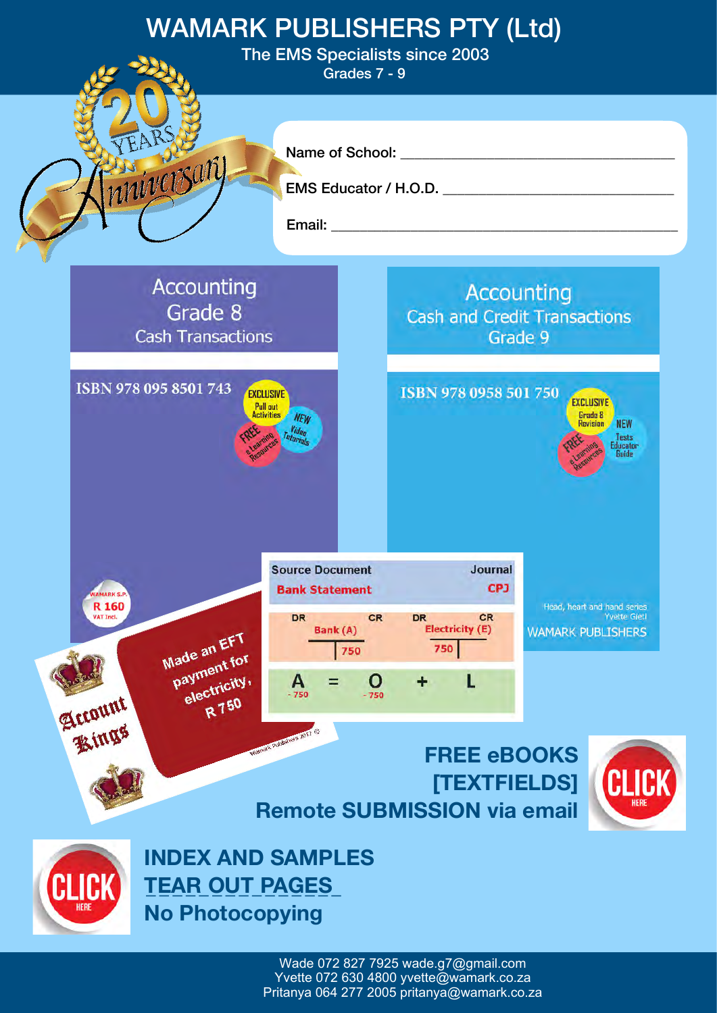

Wade 072 827 7925 [wade.g7@gmail.com](mailto:wade.g7@gmail.com) Yvette 072 630 4800 [yvette@wamark.co.za](mailto:yvette@wamark.co.za) Pritanya 064 277 2005 pritanya@wamark.co.za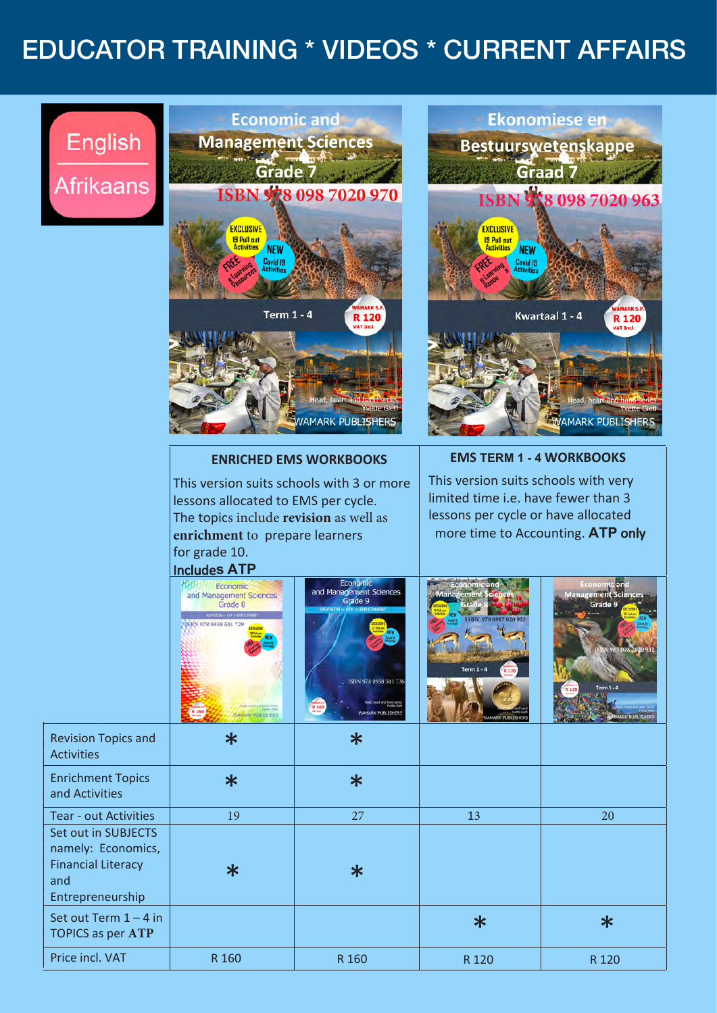## EDUCATOR TRAINING \* VIDEOS \* CURRENT AFFAIRS

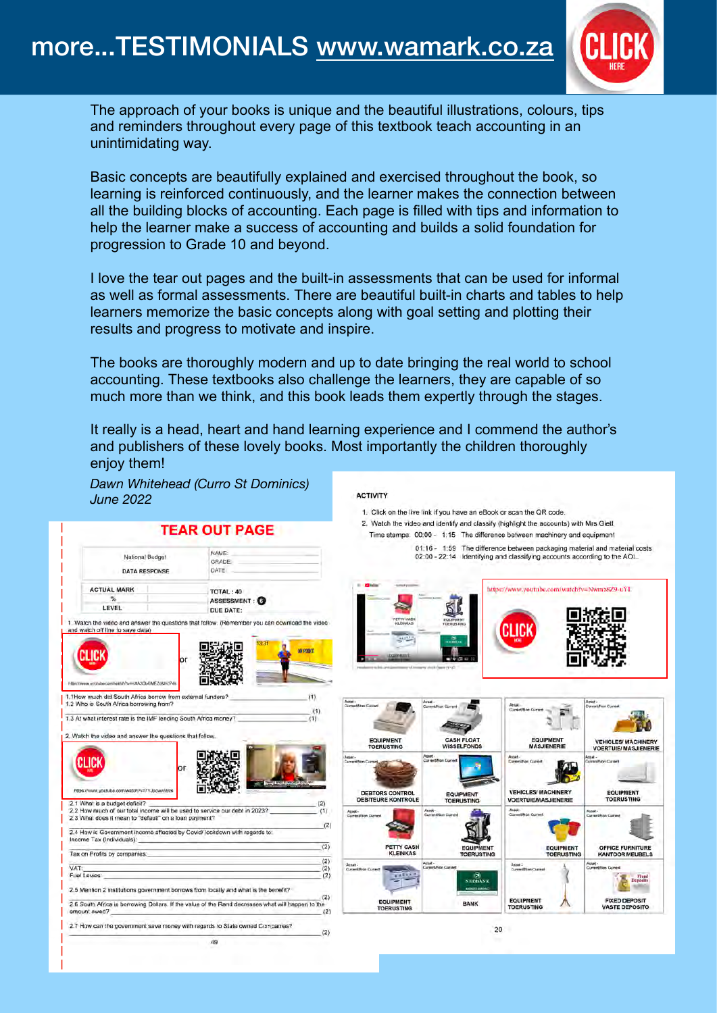

The approach of your books is unique and the beautiful illustrations, colours, tips and reminders throughout every page of this textbook teach accounting in an unintimidating way.

Basic concepts are beautifully explained and exercised throughout the book, so learning is reinforced continuously, and the learner makes the connection between all the building blocks of accounting. Each page is filled with tips and information to help the learner make a success of accounting and builds a solid foundation for progression to Grade 10 and beyond.

I love the tear out pages and the built-in assessments that can be used for informal as well as formal assessments. There are beautiful built-in charts and tables to help learners memorize the basic concepts along with goal setting and plotting their results and progress to motivate and inspire.

The books are thoroughly modern and up to date bringing the real world to school accounting. These textbooks also challenge the learners, they are capable of so much more than we think, and this book leads them expertly through the stages.

It really is a head, heart and hand learning experience and I commend the author's and publishers of these lovely books. Most importantly the children thoroughly enjoy them!

|                                                                                                                                                                   |                                                                                                                 |                                                                                                                                                                   | 1. Click on the live link if you have an eBook or scan the QR code. |                                                                           |                                                                               |  |
|-------------------------------------------------------------------------------------------------------------------------------------------------------------------|-----------------------------------------------------------------------------------------------------------------|-------------------------------------------------------------------------------------------------------------------------------------------------------------------|---------------------------------------------------------------------|---------------------------------------------------------------------------|-------------------------------------------------------------------------------|--|
| <b>TEAR OUT PAGE</b>                                                                                                                                              |                                                                                                                 | 2. Watch the video and identify and classify (highlight the accounts) with Mrs Gietl.<br>Time stamps: 00:00 - 1:15 The difference between machinery and equipment |                                                                     |                                                                           |                                                                               |  |
|                                                                                                                                                                   |                                                                                                                 |                                                                                                                                                                   |                                                                     | 01:16 - 1:59 The difference between packaging material and material costs |                                                                               |  |
| National Budget<br><b>DATA RESPONSE</b>                                                                                                                           | NAME:<br>GRADE:<br>DATE:                                                                                        |                                                                                                                                                                   |                                                                     | 02:00 - 22:14 Identifying and classifying accounts according to the AOL.  |                                                                               |  |
| <b>ACTUAL MARK</b>                                                                                                                                                | TOTAL: 40                                                                                                       |                                                                                                                                                                   |                                                                     | https://www.youtube.com/watch?v=Nwmz8Z9-uYI.                              |                                                                               |  |
| $\frac{m}{2}$<br><b>LEVEL</b>                                                                                                                                     | ASSESSMENT:<br>DUE DATE:                                                                                        |                                                                                                                                                                   |                                                                     |                                                                           |                                                                               |  |
| or<br>https://www.ycotube.com/watch?v=mXA3ObGMEZo&I=3748<br>1.1How much did South Africa borrow from external funders?<br>1.2 Who is South Africa borrowing from? | (1)                                                                                                             | ment An<br>Agret -<br>Committen Current                                                                                                                           | area' Liverin Passes CV-25<br>Asset-<br>menthium Cive               | Attel -<br>Current/Non Current                                            | Asset-<br><b>Competition Compet</b>                                           |  |
| 1.3 At what interest rate is the IMF lending South Africa money?<br>2. Watch the video and answer the questions that follow.                                      |                                                                                                                 | <b>EQUIPMENT</b>                                                                                                                                                  | <b>CASH FLOAT</b>                                                   | <b>EQUIPMENT</b>                                                          | <b>VEHICLES/ MACHINERY</b><br><b>VOERTUIE/ MASJIENERIE</b>                    |  |
|                                                                                                                                                                   |                                                                                                                 | <b>TOERUSTING</b>                                                                                                                                                 | <b>WISSELFONDS</b>                                                  | <b>MASJIENERIE</b><br>Asset-                                              |                                                                               |  |
| Or<br>https://www.youtube.com/watch?v=7YJpcwvA9zs                                                                                                                 |                                                                                                                 | Actet.<br>Current/Non Corr                                                                                                                                        | Asset-<br>Carrent/Non Can                                           | Current/Non Current                                                       | Asset -<br>Current/Hon Current                                                |  |
| 2.1 What is a budget deficit?                                                                                                                                     | (2)                                                                                                             | <b>DEBTORS CONTROL</b><br><b>DEBITEURE KONTROLE</b>                                                                                                               | <b>EQUIPMENT</b><br><b>TOERUSTING</b>                               | <b>VEHICLES/ MACHINERY</b><br><b>VOERTUIE/MASJIENERIE</b>                 | <b>EQUIPMENT</b><br><b>TOERUSTING</b>                                         |  |
| 2.2 How much of our total income will be used to service our debt in 2023?<br>2.3 What does it mean to "default" on a loan payment?                               | (1)                                                                                                             | Agset -<br>Current/Non Current                                                                                                                                    | Asset-<br><b>Current Mays Current</b>                               | Augel-<br>Current/Non Current                                             | Asset-<br>Current/Non Current                                                 |  |
| 2.4 How is Government income affected by Covid/ lockdown with regards to:<br>Income Tax (Individuals):                                                            | (2)                                                                                                             |                                                                                                                                                                   |                                                                     |                                                                           |                                                                               |  |
| Tax on Profits by companies:                                                                                                                                      | (2)                                                                                                             | PETTY CASH<br><b>KLEINKAS</b>                                                                                                                                     | <b>EQUIPMENT</b><br><b>TOERUSTING</b>                               | <b>EQUIPMENT</b><br><b>TOERUSTING</b>                                     |                                                                               |  |
|                                                                                                                                                                   | (2)<br>(2)                                                                                                      | Abset -<br><b>Current/Van Current</b>                                                                                                                             | Asset-<br>ment/Non-Classed                                          | Asset:<br>Current/Non Current                                             | Asset-<br>Current/Non Current                                                 |  |
| Fuel Levies:<br>2.5 Mention 2 institutions government borrows from locally and what is the benefit?                                                               | (2)                                                                                                             |                                                                                                                                                                   | <b>NEDBANK</b>                                                      |                                                                           | OFFICE FURNITURE<br><b>KANTOOR MEUBELS</b><br><b>Vised</b><br><b>Deposits</b> |  |
| amount owed?                                                                                                                                                      | (2)<br>2.6 South Africa is borrowing Dollars. If the value of the Rand decreases what will happen to the<br>(2) | <b>EQUIPMENT</b><br><b>TOERUSTING</b>                                                                                                                             | <b>BANK</b>                                                         | <b>EQUIPMENT</b><br><b>TOERUSTING</b>                                     | <b>FIXED DEPOSIT</b><br><b>VASTE DEPOSITO</b>                                 |  |